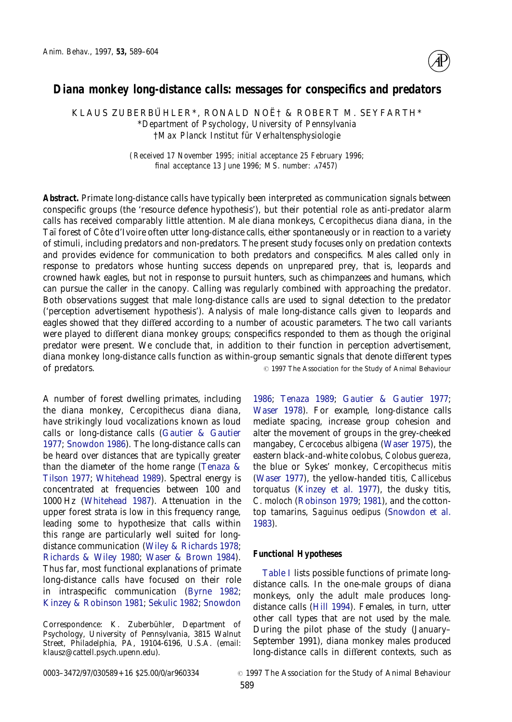*Anim. Behav.*, 1997, **53,** 589–604



# **Diana monkey long-distance calls: messages for conspecifics and predators**

KLAUS ZUBERBÜHLER\*, RONALD NOˆ & ROBERT M. SEYFARTH\* \**Department of Psychology, University of Pennsylvania* †*Max Planck Institut für Verhaltensphysiologie*

> *(Received 17 November 1995; initial acceptance 25 February 1996; final acceptance 13 June 1996; MS. number: 7457)*

**Abstract.** Primate long-distance calls have typically been interpreted as communication signals between conspecific groups (the 'resource defence hypothesis'), but their potential role as anti-predator alarm calls has received comparably little attention. Male diana monkeys, *Cercopithecus diana diana*, in the Taï forest of Côte d'Ivoire often utter long-distance calls, either spontaneously or in reaction to a variety of stimuli, including predators and non-predators. The present study focuses only on predation contexts and provides evidence for communication to both predators and conspecifics. Males called only in response to predators whose hunting success depends on unprepared prey, that is, leopards and crowned hawk eagles, but not in response to pursuit hunters, such as chimpanzees and humans, which can pursue the caller in the canopy. Calling was regularly combined with approaching the predator. Both observations suggest that male long-distance [calls a](#page-15-1)[re used to sign](#page-15-8)[al detection to the predator](#page-15-0) ('perception advertisement hypothesis'). Analysis o[f male long-d](#page-15-9)istance calls given to leopards and eagles showed that they differed according to a number of acoustic parameters. The two call variants were played to different dian[a monkey groups; co](#page-15-0)nspecifics responded to them as though the original [preda](#page-15-0)[tor were presen](#page-15-1)t. We conclude that, in addition to their function in percepti[on advertisem](#page-15-10)ent, diana monkey long-distance calls function as within-group semantic signals that denote different types of predators. ? 1997 The Association for the Study of Animal Behaviour

A numbe[r of forest dwellin](#page-15-2)g primates, including the diana monkey, *Cercopithecus diana diana*, have strikingly loud vocalizations known as loud calls or long-distance calls (Gautier & Gautier 1977; Snowdon 1986). The long-distance calls can be heard over distances t[hat](#page-15-3) [are](#page-15-3) [typically](#page-15-3) [greater](#page-15-3) [than](#page-15-4) [the](#page-15-4) [diameter](#page-15-4) [of](#page-15-4) [the](#page-15-4) home range (Tenaza & Tilson 1977; Whitehead 1989). Spectral energy is concentrated at frequencies between 100 and 1000 Hz (Whitehead 1987). Atten[uation](#page-15-5) [in](#page-15-5) [the](#page-15-5) [upper](#page-15-6) [forest](#page-15-6) [strata](#page-15-6) [is](#page-15-6) [low](#page-15-6) [in](#page-15-7) [this](#page-15-7) [freque](#page-15-7)[ncy](#page-15-1) [range,](#page-15-1) leading some to hypothesize that calls within this range are particularly well suited for longdistance communication (Wiley & Richards 1978; Richards & Wiley 1980; Waser & Brown 1984). Thus far, most functional explanations of primate long-distance calls have focused on their role in intraspecific communication (Byrne 1982; Kinzey & Robinson 1981; Sekulic 1982; Snowdon

Correspondence: K. Zuberbühler, Department of Psychology, University of Pennsylvania, 3815 Walnut Street, Philadelphia, PA, 19104-6196, U.S.A. (email: klausz@cattell.psych.upenn.edu).

1986; Ten[aza](#page-15-11) [1989;](#page-15-11) Gautier & Gautier 1977; Waser 19[78\).](#page-15-12) [For](#page-15-12) [examp](#page-15-12)[le,](#page-15-13) [lo](#page-15-13)ng-distance calls mediate spacing, increase grou[p](#page-15-14) [cohesion](#page-15-14) [and](#page-15-14) [alter](#page-15-14) the movement of groups in the grey-cheeked mangabey, *Cercocebus albigena* (Waser 1975), the eastern black-and-white colobus, *Colobus guereza*, the blue or Sykes' monkey, *Cercopithecus mitis* ([Waser 19](#page-1-0)77), the yellow-handed titis, *Callicebus torquatus* (Kinzey et al. 1977), the dusky titis, *C. moloch* (Robinson 1979; 1981), and the cottontop tamarins, *[Saguinus](#page-15-15) oedipus* (Snowdon et al. 1983).

# **Functional Hypotheses**

Table I lists possible functions of primate longdistance calls. In the one-male groups of diana monkeys, only the adult male produces longdistance calls (Hill 1994). Females, in turn, utter other call types that are not used by the male. During the pilot phase of the study (January– September 1991), diana monkey males produced long-distance calls in different contexts, such as

0003–3472/97/030589+16 \$25.00/0/ar960334 © 1997 The Association for the Study of Animal Behaviour 589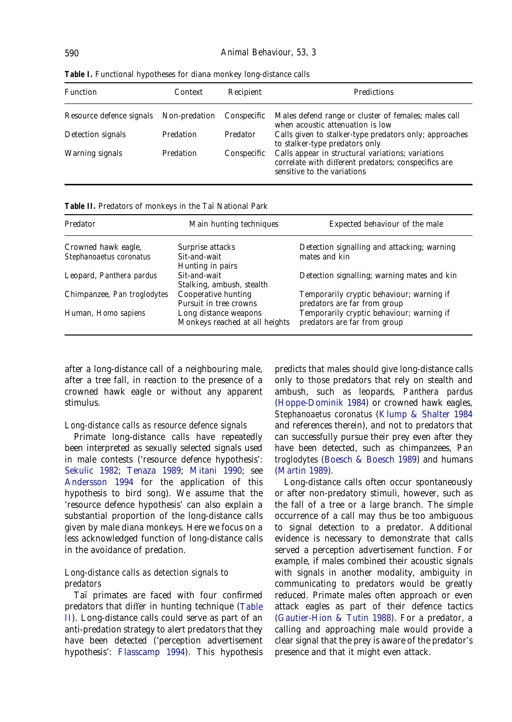## <span id="page-1-0"></span>590 *Animal Behaviour, 53, 3*

**Table I.** Functional hypotheses for diana monkey long-distance calls

<span id="page-1-1"></span>

| <b>Function</b>          | Context       | Recipient   | <b>Predictions</b>                                                                                                                       |
|--------------------------|---------------|-------------|------------------------------------------------------------------------------------------------------------------------------------------|
| Resource defence signals | Non-predation | Conspecific | Males defend range or cluster of females; males call<br>when acoustic attenuation is low                                                 |
| Detection signals        | Predation     | Predator    | Calls given to stalker-type predators only; approaches<br>to stalker-type predators only                                                 |
| Warning signals          | Predation     | Conspecific | Calls appear in structural variations; variations<br>correlate with different predators; conspecifics are<br>sensitive to the variations |

**Table II.** Predators of monkeys in the Taï National Park

| Predator                                       | Main hunting techniques                                       | Expected behaviour of the male                                            |
|------------------------------------------------|---------------------------------------------------------------|---------------------------------------------------------------------------|
| Crowned hawk eagle,<br>Stephanoaetus coronatus | Surprise attacks<br>Sit-and-wait                              | Detection signalling and attacking; warning<br>mates and kin              |
| Leopard, Panthera pardus                       | Hunting in pairs<br>Sit-and-wait<br>Stalking, ambush, stealth | Detection signalling; warning mates and kin                               |
| Chimpanzee, Pan troglodytes                    | Cooperative hunting<br>Pursuit in tree crowns                 | Temporarily cryptic behaviour; warning if<br>predators are far from group |
| Human, Homo sapiens                            | Long distance weapons<br>Monkeys reached at all heights       | Temporarily cryptic behaviour; warning if<br>predators are far from group |

after a long-distance call of a neighbouring male, [after](#page-15-7) [a](#page-15-7) [tree](#page-15-7) [fa](#page-15-7)l[l,](#page-15-8) [in](#page-15-8) [reaction](#page-15-8) [t](#page-15-8)[o](#page-15-16) [the](#page-15-16) [presence](#page-15-16) of a [crowned](#page-15-17) [hawk](#page-15-17) [e](#page-15-17)agle or without any apparent stimulus.

#### *Long-distance calls as resource defence signals*

Primate long-distance calls have repeatedly been interpreted as sexually selected signals used in male contests ('resource defence hypothesis': Sekulic 1982; Tenaza 1989; Mitani 1990; see Andersson 1994 for the application of this hypothesis to bird song). We assume that the 'resource defence hypothesis' can also explain a substantial proportion of the long-distanc[e](#page-1-1) [calls](#page-1-1) [giv](#page-1-1)en by male diana monkeys. Here we focus on a less acknowledged function of long-distance calls in the avoid[ance of predation.](#page-15-18)

# *Long-distance calls as detection signals to predators*

Taï primates are faced with four confirmed predators that differ in hunting technique (Table II). Long-distance calls could serve as part of an anti-predation strategy to alert predators that they have been detected ('perception advertisement hypothesis': Flasscamp 1994). This hypothesis

predicts tha[t](#page-15-21) [males](#page-15-21) [should](#page-15-21) [give](#page-15-21) [long](#page-15-21)-distance calls [only](#page-15-22) [to](#page-15-22) [those](#page-15-22) predators that rely on stealth and ambush, such as leopards, *Panthera pardus* (Hoppe-Dominik 1984) or crowned hawk eagles, *Stephanoaetus coronatus* (Klump & Shalter 1984 and references therein), and not to predators that can successfully pursue their prey even after they have been detected, such as chimpanzees, *Pan troglodytes* (Boesch & Boesch 1989) and humans (Martin 1989).

Long-distance calls often occur spontaneously or after non-predatory stimuli, however, such as the fall of a tree or a large branch. The simple occurrence of a call may thus be too ambiguous [to](#page-15-23) [signal](#page-15-23) [detection](#page-15-23) [to](#page-15-23) [a](#page-15-23) [p](#page-15-23)redator. Additional evidence is necessary to demonstrate that calls served a perception advertisement function. For example, if males combined their acoustic signals with signals in another modality, ambiguity in communicating to predators would be greatly reduced. Primate males often approach or even attack eagles as part of their defence tactics (Gautier-Hion & Tutin 1988). For a predator, a calling and approaching male would provide a clear signal that the prey is aware of the predator's presence and that it might even attack.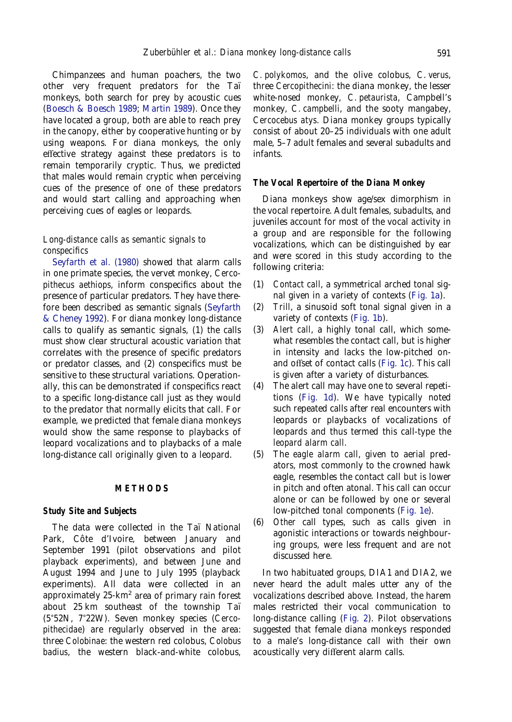Chimpanzees and human poachers, the two other very frequent predators for the Taï monkeys, both search for prey by acoustic cues (Boesch & Boesch 1989; Martin 1989). Once they have located a group, both are able to reach prey in the canopy, either by cooperative hunting or by using weapons. For diana monkeys, the only effective strategy against these predators is to r[emain temporarily cryp](#page-15-24)tic. Thus, we predicted that males would remain cryptic when perceiving cues of the presence of one of these predators and would start calling and approaching when perceiving cues of eagles or leopards.

# *Long-distance calls as semantic signals to conspecifics*

Seyfarth et al. (1980) showed that alarm calls in one primate species, the vervet monkey, *Cercopithecus aethiops*, inform conspecifics about the presence of particular predators. They have therefore been described as semantic signals (Seyfarth & Cheney 1992). For diana monkey long-distance calls to qualify as semantic signals, (1) the calls must show clear structural acoustic variation that correlates with the presence of specific predators or predator classes, and (2) conspecifics must be sensitive to these structural variations. Operationally, this can be demonstrated if conspecifics react to a specific long-distance call just as they would to the predator that normally elicits that call. For example, we predicted that female diana monkeys would show the same response to playbacks of leopard vocalizations and to playbacks of a male long-distance call originally given to a leopard.

## **METHODS**

# **Study Site and Subjects**

The data were collected in the Taï National Park, Côte d'Ivoire, between January and September 1991 (pilot observations and pilot playback experiments), and between June and August 1994 and June to July 1995 (playback experiments). All data were collected in an approximately 25-km<sup>2</sup> area of primary rain forest about 25 km southeast of the township Taï (5)52N, 7)22W). Seven monkey species (*Cercopithecidae*) are regularly observed in the area: three *Colobinae*: the western red colobus, *Colobus badius*, the western black-and-white colobus,

*C. polykomos*, and the olive colobus, *C. verus*, three *Cercopithecini*: the diana monkey, the lesser white-nosed monkey, *C. petaurista*, Campbell's monkey, *C. campbelli*, and the sooty mangabey, *Cercocebus atys*. Diana monkey groups typically consist of about 20–25 individuals with one adult male, 5–7 adult females and several subadults and infants.

# **The Vocal Repertoire of the Diana Monkey**

Diana monkeys show age/sex dim[orphism](#page-3-0) in the vocal repertoire. Adult females, subadults, and juveniles account for mo[st of the](#page-3-0) vocal activity in a group and are responsible for the following vocalizations, which can be distinguished by ear and were scored in this study according to the following criteria:

- (1) *Contact call*, a symmetrical arched tonal signal given in a variety of contexts (Fig. 1a).
- (2) *Trill*, [a](#page-3-0) [sinusoid](#page-3-0) soft tonal signal given in a variety of contexts (Fig. 1b).
- (3) *Alert call*, a highly tonal call, which somewhat resembles the contact call, but is higher in intensity and lacks the low-pitched onand offset of contact calls (Fig. 1c). This call is given after a variety of disturbances.
- (4) The alert call may have one to several repetitions (Fig. 1d). We have typically noted such repeated calls after real encounters with leopards or playbacks of voc[alizatio](#page-3-0)ns of leopards and thus termed this call-type the *leopard alarm call*.
- (5) The *eagle alarm call*, given to aerial predators, most commonly to the crowned hawk eagle, resembles the contact call but is lower in pitch and often atonal. This call can occur alone or can be followed by one or several low-pitched tonal components (Fig. 1e).
- (6) *Other* call type[s, such](#page-4-0) as calls given in agonistic interactions or towards neighbouring groups, were less frequent and are not discussed here.

In two habituated groups, DIA1 and DIA2, we never heard the adult males utter any of the vocalizations described above. Instead, the harem males restricted their vocal communication to long-distance calling (Fig. 2). Pilot observations suggested that female diana monkeys responded to a male's long-distance call with their own acoustically very different alarm calls.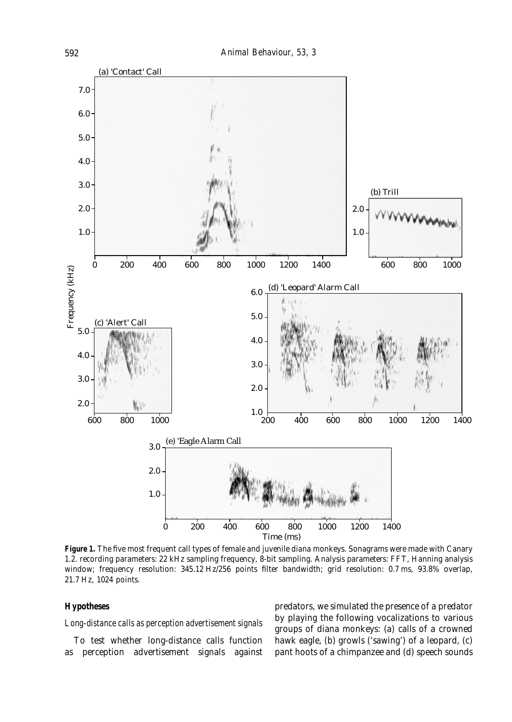

<span id="page-3-0"></span>**Figure 1.** The five most frequent call types of female and juvenile diana monkeys. Sonagrams were made with Canary 1.2. recording parameters: 22 kHz sampling frequency, 8-bit sampling. Analysis parameters: FFT, Hanning analysis window; frequency resolution: 345.12 Hz/256 points filter bandwidth; grid resolution: 0.7 ms, 93.8% overlap, 21.7 Hz, 1024 points.

# **Hypotheses**

*Long-distance calls as perception advertisement signals*

To test whether long-distance calls function as perception advertisement signals against predators, we simulated the presence of a predator by playing the following vocalizations to various groups of diana monkeys: (a) calls of a crowned hawk eagle, (b) growls ('sawing') of a leopard, (c) pant hoots of a chimpanzee and (d) speech sounds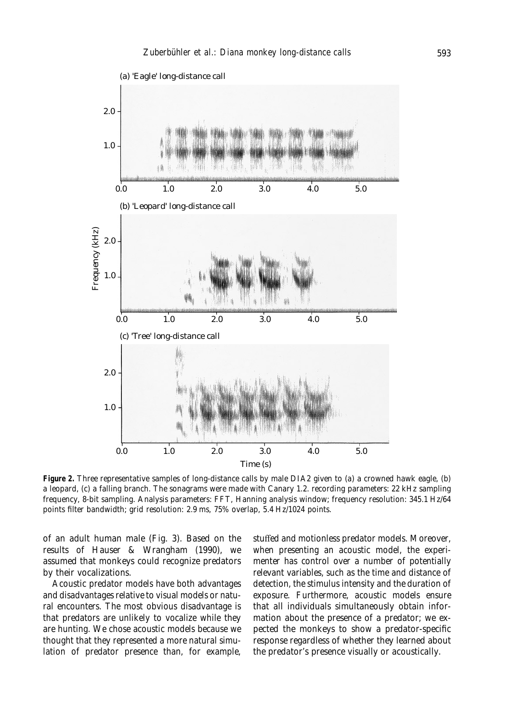<span id="page-4-1"></span>

<span id="page-4-0"></span>**Figure 2.** Three representative samples of long-distance calls by male DIA2 given to (a) a crowned hawk eagle, (b) a leopard, (c) a falling branch. The sonagrams were made with Canary 1.2. recording parameters: 22 kHz sampling frequency, 8-bit sampling. Analysis parameters: FFT, Hanning analysis window; frequency resolution: 345.1 Hz/64 points filter bandwidth; grid resolution: 2.9 ms, 75% overlap, 5.4 Hz/1024 points.

of an adult human male (Fig. 3). Based on the results of Hauser & Wrangham (1990), we assumed that monkeys could recognize predators by their vocalizations.

Acoustic predator models have both advantages and disadvantages relative to visual models or natural encounters. The most obvious disadvantage is that predators are unlikely to vocalize while they are hunting. We chose acoustic models because we thought that they represented a more natural simulation of predator presence than, for example,

stuffed and motionless predator models. Moreover, when presenting an acoustic model, the experimenter has control over a number of potentially relevant variables, such as the time and distance of detection, the stimulus intensity and the duration of exposure. Furthermore, acoustic models ensure that all individuals simultaneously obtain information about the presence of a predator; we expected the monkeys to show a predator-specific response regardless of whether they learned about the predator's presence visually or acoustically.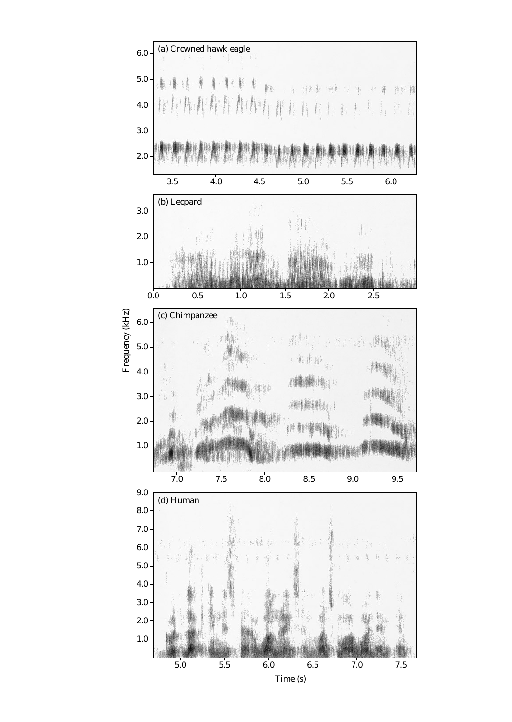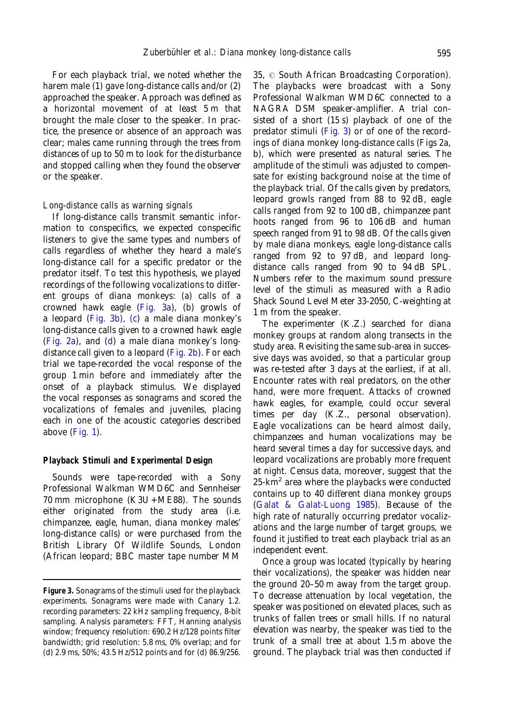For each playback trial, we noted whether the harem male (1) gave long-distance calls and/or (2) approached the speaker. Approach was defined as a horizontal movement of at least 5 m that brought the male closer to the speaker. In practice, the presence or absence of an approach was clear; males came running through the trees from distances of up to 50 m to look for the disturbance and stopped calling when they found the observer or the speaker.

## *Long-distance calls as warning signals*

If long-distance calls [transmi](#page-6-0)t semantic information to [conspecifics,](#page-6-0) we expected conspecific listeners to give the same types and numbers of [calls](#page-4-0) [reg](#page-4-0)ardless [o](#page-4-0)f whether they heard a male's long-distance call for a specifi[c](#page-4-0) [preda](#page-4-0)tor or the predator itself. To test this hypothesis, we played recordings of the following vocalizations to different groups of diana monkeys: (a) calls of a crowned hawk eagle (Fig. 3a), (b) growls of a leopard (Fig. 3b), (c) a male diana monkey's long-distance calls given to a crowned hawk eagle (Fig. 2[a\),](#page-3-0) [and](#page-3-0) (d) a male diana monkey's longdistance call given to a leopard (Fig. 2b). For each trial we tape-recorded the vocal response of the group 1 min before and immediately after the onset of a playback stimulus. We displayed the vocal responses as sonagrams and scored the vocalizations of females and juveniles, placing each in one of the acoustic categories described above (Fig. 1).

### **Playback Stimuli and Experimental Design**

<span id="page-6-0"></span>Sounds were tape-recorded with a Sony Professional Walkman WMD6C and Sennheiser 70 mm microphone (K3U+ME88). The sounds either originated from the study area (i.e. chimpanzee, eagle, human, diana monkey males' long-distance calls) or were purchased from the British Library Of Wildlife Sounds, London (African leopard; BBC master tape number MM 35, © South African Broadcasting Corporation). The playbacks were broadcast with a Sony Professional Walkman WMD6C connected to a NAGRA DSM speaker-amplifier. A trial consisted of a short (15 s) playback of one of the predator stimuli (Fig. 3) or of one of the recordings of diana monkey long-distance calls (Figs 2a, b), which were presented as natural series. The amplitude of the stimuli was adjusted to compensate for existing background noise at the time of the playback trial. Of the calls given by predators, leopard growls ranged from 88 to 92 dB, eagle calls ranged from 92 to 100 dB, chimpanzee pant hoots ranged from 96 to 106 dB and human speech ranged from 91 to 98 dB. Of the calls given by male diana monkeys, eagle long-distance calls ranged from 92 to 97 dB, and leopard longdistance calls ranged from 90 to 94 dB SPL. Numbers refer to the maximum sound pressure level of the stimuli as measured with a Radio Shack Sound Level Meter 33-2050, C-weighting at 1 m from the speaker.

The experimenter (K.Z.) searched for diana monkey groups at random along transects in the study area. Revisiting the same sub-area in successive days was avoided, so that a particular group was re-tested after 3 days at the earliest, if at all. Encounter rates with real predators, on the other hand, were more frequent. Attacks of crowned hawk eagles, for example, could occur several [times](#page-15-25) [per](#page-15-25) [day](#page-15-25) [\(K.Z.,](#page-15-25) [perso](#page-15-25)nal observation). Eagle vocalizations can be heard almost daily, chimpanzees and human vocalizations may be heard several times a day for successive days, and leopard vocalizations are probably more frequent at night. Census data, moreover, suggest that the  $25\text{-}km^2$  area where the playbacks were conducted contains up to 40 different diana monkey groups (Galat & Galat-Luong 1985). Because of the high rate of naturally occurring predator vocalizations and the large number of target groups, we found it justified to treat each playback trial as an independent event.

Once a group was located (typically by hearing their vocalizations), the speaker was hidden near the ground 20–50 m away from the target group. To decrease attenuation by local vegetation, the speaker was positioned on elevated places, such as trunks of fallen trees or small hills. If no natural elevation was nearby, the speaker was tied to the trunk of a small tree at about 1.5 m above the ground. The playback trial was then conducted if

**Figure 3.** Sonagrams of the stimuli used for the playback experiments. Sonagrams were made with Canary 1.2. recording parameters: 22 kHz sampling frequency, 8-bit sampling. Analysis parameters: FFT, Hanning analysis window; frequency resolution: 690.2 Hz/128 points filter bandwidth; grid resolution: 5.8 ms, 0% overlap; and for (d) 2.9 ms, 50%; 43.5 Hz/512 points and for (d) 86.9/256.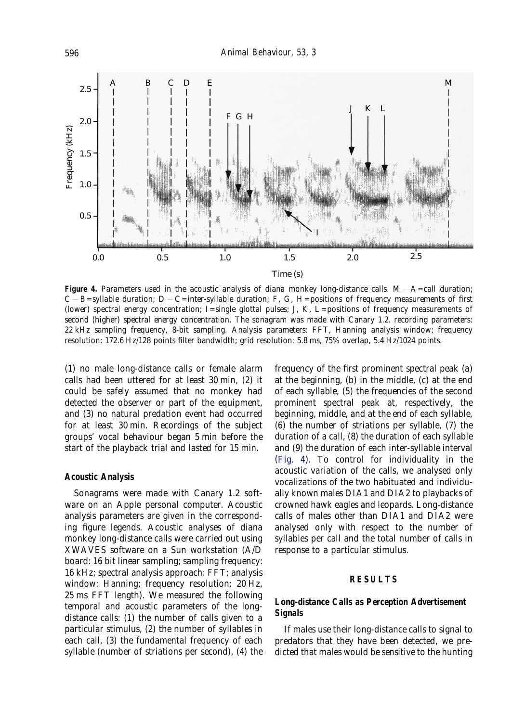596 *Animal Behaviour, 53, 3*



<span id="page-7-0"></span>**Figure 4.** Parameters used in the acoustic analysis of diana monkey long-distance calls.  $M - A =$ call duration;  $C - B =$ syllable duration; D – C=inter-syllable duration; F, G, H=positions of frequency measurements of first (lower) spectral energy concentration; I=single glottal pulses; J, K, L=positions of frequency measurements of second (higher) spectral energy concentration. The sonagram was made with Canary 1.2. recording parameters: 22 kHz sampling frequency, 8-bit sampling. Analysis parameters: FFT, Hanning analysis window; frequency resolution: 172.6 Hz/128 points filter bandwidth; grid resolution: 5.8 ms, 75% overlap, 5.4 Hz/1024 points.

(1) no male long-distance calls or female alarm calls had been uttered for at least 30 min, (2) it could be safely assumed that no monkey had detected the observer or part of the equipment, and (3) no natural predation event had occurred for at least 30 min. Recordings of the subject groups' vocal behaviour began 5 min before the start of the playback trial and lasted for 15 min.

## **Acoustic Analysis**

Sonagrams were made with Canary 1.2 software on an Apple personal computer. Acoustic analysis parameters are given in the corresponding figure legends. Acoustic analyses of diana monkey long-distance calls were carried out using XWAVES software on a Sun workstation (A/D board: 16 bit linear sampling; sampling frequency: 16 kHz; spectral analysis approach: FFT; analysis window: Hanning; frequency resolution: 20 Hz, 25 ms FFT length). We measured the following temporal and acoustic parameters of the longdistance calls: (1) the number of calls given to a particular stimulus, (2) the number of syllables in each call, (3) the fundamental frequency of each syllable (number of striations per second), (4) the [frequenc](#page-7-0)y of the first prominent spectral peak (a) at the beginning, (b) in the middle, (c) at the end of each syllable, (5) the frequencies of the second prominent spectral peak at, respectively, the beginning, middle, and at the end of each syllable, (6) the number of striations per syllable, (7) the duration of a call, (8) the duration of each syllable and (9) the duration of each inter-syllable interval (Fig. 4). To control for individuality in the acoustic variation of the calls, we analysed only vocalizations of the two habituated and individually known males DIA1 and DIA2 to playbacks of crowned hawk eagles and leopards. Long-distance calls of males other than DIA1 and DIA2 were analysed only with respect to the number of syllables per call and the total number of calls in response to a particular stimulus.

## **RESULTS**

# **Long-distance Calls as Perception Advertisement Signals**

If males use their long-distance calls to signal to predators that they have been detected, we predicted that males would be sensitive to the hunting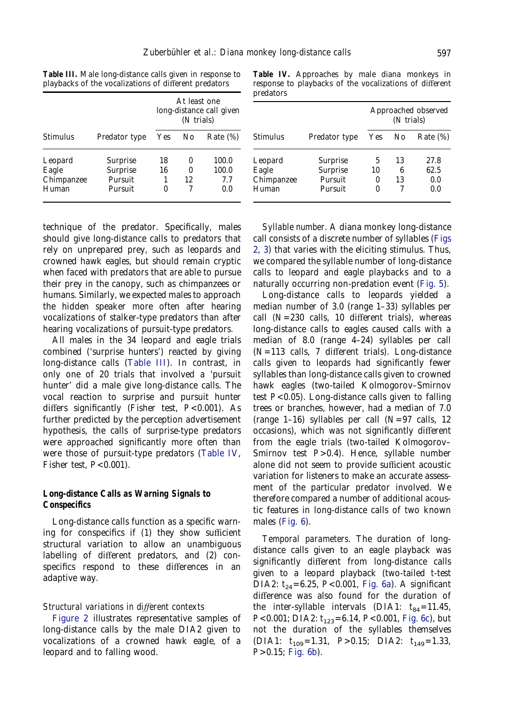<span id="page-8-0"></span>**Table III.** Male long-distance calls given in response to playbacks of the vocalizations of different predators

<span id="page-8-1"></span>

|           | <b>Table IV.</b> Approaches by male diana monkeys in    |  |  |  |
|-----------|---------------------------------------------------------|--|--|--|
|           | response to playbacks of the vocalizations of different |  |  |  |
| predators |                                                         |  |  |  |

|                 |                 | At least one<br>long-distance call given<br>$(N$ trials) |          |             |            | Approached observ<br>$(N$ trials) |          |     |        |
|-----------------|-----------------|----------------------------------------------------------|----------|-------------|------------|-----------------------------------|----------|-----|--------|
| <b>Stimulus</b> | Predator type   | Yes                                                      | No       | Rate $(\%)$ | Stimulus   | Predator type                     | Yes      | No. | Rate ( |
| Leopard         | <b>Surprise</b> | 18                                                       | $\bf{0}$ | 100.0       | Leopard    | <b>Surprise</b>                   | 5        | 13  | 27.8   |
| Eagle           | Surprise        | 16                                                       | $\bf{0}$ | 100.0       | Eagle      | Surprise                          | 10       | 6   | 62.5   |
| Chimpanzee      | Pursuit         |                                                          | 12       | 7.7         | Chimpanzee | Pursuit                           | $\bf{0}$ | 13  | 0.0    |
| Human           | Pursuit         | 0                                                        |          | 0.0         | Human      | Pursuit                           | 0        |     | 0.0    |

technique of the predator. Specifically, males should give long-distance calls to predators that rely on unprepared prey, such as leopards and crowned hawk eagles, but should remain cryptic when faced with pre[dators](#page-8-0) [that](#page-8-0) are able to pursue their prey in the canopy, such as chimpanzees or humans. Similarly, we expected males to approach the hidden speaker more often after hearing vocalizations of stalker-type predators than after hearing vocalizations of pursuit-type predators.

All males in the 34 leopard and eagle trials combined ('surprise hunters') reacted by giving long-distance calls (Table III). In c[ontrast,](#page-8-1) [in](#page-8-1) only one of 20 trials that involved a 'pursuit hunter' did a male give long-distance calls. The vocal reaction to surprise and pursuit hunter differs significantly (Fisher test, *P*<0.001). As further predicted by the perception advertisement hypothesis, the calls of surprise-type predators were approached significantly more often than were those of pursuit-type predators (Table IV, Fisher test, *P*<0.001).

# **Long-distance Calls as Warning Signals to Conspecifics**

[Long-dist](#page-4-0)ance calls function as a specific warning for conspecifics if (1) they show sufficient structural variation to allow an unambiguous labelling of different predators, and (2) conspecifics respond to these differences in an adaptive way.

#### *Structural variations in different contexts*

Figure 2 illustrates representative samples of long-distance calls by the male DIA2 given to vocalizations of a crowned hawk eagle, of a leopard and to falling wood.

*Syllable number.* A diana monkey long-distance call consists of a discrete number of syllables (Figs 2, 3) that varies with the eliciting stimulus. Thus, we compared the syllable number of long-distance calls to leopard and eagle playbacks and to a naturally occurring non-predation event (Fig. 5).

Long-distance calls to leopards yielded a median number of 3.0 (range 1–33) syllables per call (*N*=230 calls, 10 different trials), whereas long-distance calls to eagles caused calls with a median of 8.0 (range 4–24) syllables per call (*N*=113 calls, 7 different trials). Long-distance calls given to leopards had significantly fewer syllables than long-distance calls given to crowned hawk eagles (two-tailed Kolmogorov–Smirnov test *P*<0.05). Long-distance calls given to falling trees or branches, however, had a median of 7.0 (range 1–16) syllables per call (*N*=97 calls, 12 occasi[ons\),](#page-10-0) [w](#page-10-0)hich was not significantly different from the eagle trials (two-tailed Kolmogorov– Smirnov test *P*>0.4). Hence, syllable number alone did not seem to provide sufficient acoustic variation for listeners to make an accurate assessment of the particular p[redator](#page-10-0) involved. We therefore compared a number of additional acoustic features in long-distance calls of two known males (Fig. 6).

*Temporal parameters.* The duration of longdistance calls given to an eagle playback was significa[ntly](#page-10-0) [di](#page-10-0)fferent from long-distance calls given to a leopard playback (two-tailed *t*-test DIA2:  $t_{24}$ =6.25, *P*<0.001, Fig. 6a). A significant difference was also found for the duration of the inter-syllable intervals (DIA1:  $t_{84} = 11.45$ , *P*<0.001; DIA2:  $t_{123}$ =6.14, *P*<0.001, Fig. 6c), but not the duration of the syllables themselves (DIA1: *t*109=1.31, *P*>0.15; DIA2: *t*149=1.33, *P*>0.15; Fig. 6b).

Approached observed (*N* trials) Yes No Rat[e \(%\)](#page-4-0)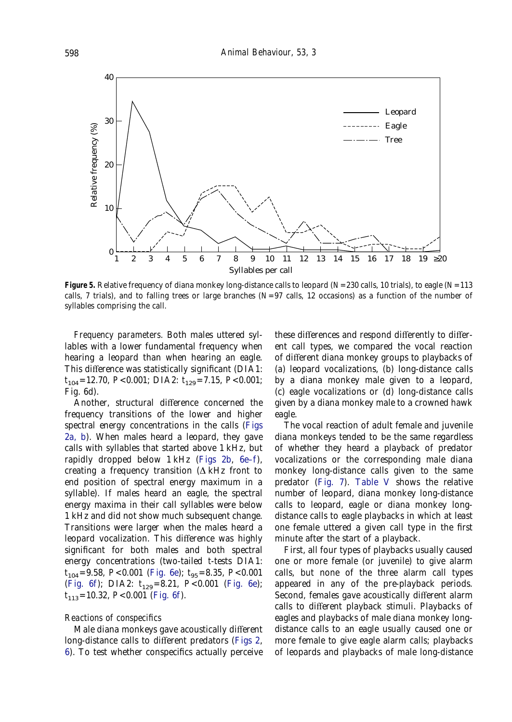598 *Animal Behaviour, 53, 3*



<span id="page-9-0"></span>**Figure 5.** Relative frequency of diana monkey long-distance calls to leopard (*N*=230 calls, 10 trials), to eagle (*N*=113 calls, 7 trials), and to falling trees or large branches (*N*=97 calls, 12 occasions) as a function of the number of syllables comprising the call.

*Frequency parameters.* Both males uttere[d](#page-4-0) [syl](#page-4-0)[lables](#page-4-0) with a lower fundamental frequency when hearing a leopard than when hearing an eagle. This difference was statistically si[gnificant](#page-4-0) ([DIA1](#page-10-0): *t*104=12.70, *P*<0.001; DIA2: *t*129=7.15, *P*<0.001; Fig. 6d).

Another, structural difference concerned the frequency transitions of the lower and higher spectral energy concentrations in the calls (Figs 2a, b). When males heard a leopard, they gave calls with syllables that started above 1 kHz, but rapidly dropped below 1 kHz (Figs 2b, 6e–f), creating a frequency transition  $(\Delta kHz)$  front to end position of spe[ctral](#page-10-0) [en](#page-10-0)ergy maximum in a [syllable\)](#page-10-0). If males heard an eagle, th[e](#page-10-0) [spectra](#page-10-0)l energy maxima in th[eir](#page-10-0) [call](#page-10-0) [s](#page-10-0)yllables were below 1 kHz and did not show much subsequent change. Transitions were larger when the males heard a leopard vocalization. This difference was highly significant for both males and both [spectral](#page-4-0) [en](#page-10-0)ergy concentrations (two-tailed *t*-tests DIA1: *t*<sub>104</sub>=9.58, *P*<0.001 (Fig. 6e); *t*<sub>95</sub>=8.35, *P*<0.001 (Fig. 6f); DIA2:  $t_{129} = 8.21$ ,  $P < 0.001$  (Fig. 6e); *t*113=10.32, *P*<0.001 (Fig. 6f).

## *Reactions of conspecifics*

Male diana monkeys gave acoustically different long-distance calls to different predators (Figs 2, 6). To test whether conspecifics actually perceive

these differences and respond differently to different call types, we compared the vocal reaction of different diana monkey groups to playbacks of (a) leopard vocalizations, (b) long-distance calls by a diana monkey male given to a leopard, (c) eagle [vocaliza](#page-11-0)ti[ons](#page-9-0) [or](#page-9-0) [\(d\)](#page-9-0) long-distance calls given by a diana monkey male to a crowned hawk eagle.

The vocal reaction of adult female and juvenile diana monkeys tended to be the same regardless of whether they heard a playback of predator vocalizations or the corresponding male diana monkey long-distance calls given to the same predator (Fig. 7). Table V shows the relative number of leopard, diana monkey long-distance calls to leopard, eagle or diana monkey longdistance calls to eagle playbacks in which at least one female uttered a given call type in the first minute after the start of a playback.

First, all four types of playbacks usually caused one or more female (or juvenile) to give alarm calls, but none of the three alarm call types appeared in any of the pre-playback periods. Second, females gave acoustically different alarm calls to different playback stimuli. Playbacks of eagles and playbacks of male diana monkey longdistance calls to an eagle usually caused one or more female to give eagle alarm calls; playbacks of leopards and playbacks of male long-distance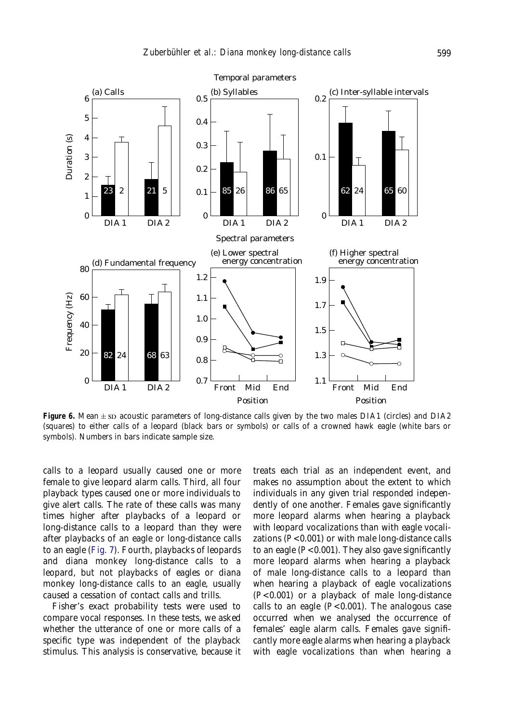

<span id="page-10-0"></span>**Figure 6.** Mean  $\pm$  so acoustic parameters of long-distance calls given by the two males DIA1 (circles) and DIA2 (squares) to either calls of a leopard (black bars or symbols) or calls of a crowned hawk eagle (white bars or symbols). Numbers in bars indicate sample size.

calls to a leopard usually caused one or more female to give leopard alarm calls. Third, all four playback types caused one or more individuals to give alert calls. The rate of these calls was many times higher after playbacks of a leopard or long-distance calls to a leopard than they were after playbacks of an eagle or long-distance calls to an eagle (Fig. 7). Fourth, playbacks of leopards and diana monkey long-distance calls to a leopard, but not playbacks of eagles or diana monkey long-distance calls to an eagle, usually caused a cessation of contact calls and trills.

Fisher's exact probability tests were used to compare vocal responses. In these tests, we asked whether the utterance of one or more calls of a specific type was independent of the playback stimulus. This analysis is conservative, because it treats each trial as an independent event, and makes no assumption about the extent to which individuals in any given trial responded independently of one another. Females gave significantly more leopard alarms when hearing a playback with leopard vocalizations than with eagle vocalizations (*P*<0.001) or with male long-distance calls to an eagle  $(P<0.001)$ . They also gave significantly more leopard alarms when hearing a playback of male long-distance calls to a leopard than when hearing a playback of eagle vocalizations (*P*<0.001) or a playback of male long-distance calls to an eagle  $(P<0.001)$ . The analogous case occurred when we analysed the occurrence of females' eagle alarm calls. Females gave significantly more eagle alarms when hearing a playback with eagle vocalizations than when hearing a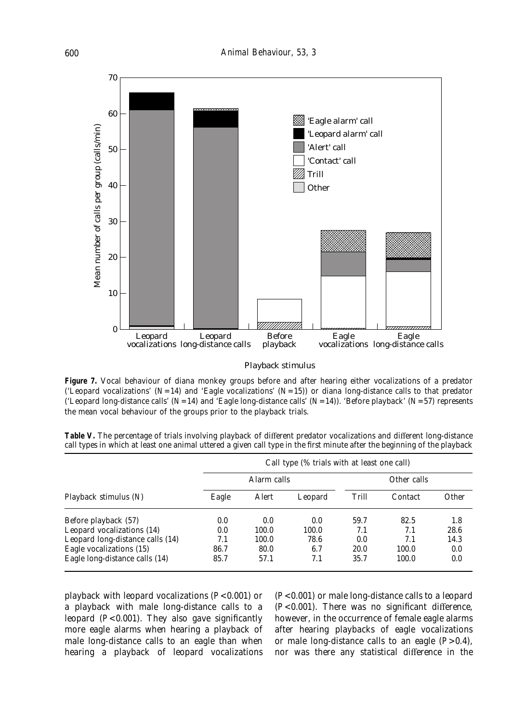

Playback stimulus

<span id="page-11-0"></span>**Figure 7.** Vocal behaviour of diana monkey groups before and after hearing either vocalizations of a predator ('Leopard vocalizations' (*N*=14) and 'Eagle vocalizations' (*N*=15)) or diana long-distance calls to that predator ('Leopard long-distance calls' (*N*=14) and 'Eagle long-distance calls' (*N*=14)). 'Before playback' (*N*=57) represents the mean vocal behaviour of the groups prior to the playback trials.

**Table V.** The percentage of trials involving playback of different predator vocalizations and different long-distance call types in which at least one animal uttered a given call type in the first minute after the beginning of the playback

|                                  | Call type (% trials with at least one call) |             |         |             |         |       |  |  |
|----------------------------------|---------------------------------------------|-------------|---------|-------------|---------|-------|--|--|
|                                  |                                             | Alarm calls |         | Other calls |         |       |  |  |
| Playback stimulus $(N)$          | Eagle                                       | Alert       | Leopard | Trill       | Contact | Other |  |  |
| Before playback (57)             | 0.0                                         | 0.0         | 0.0     | 59.7        | 82.5    | 1.8   |  |  |
| Leopard vocalizations (14)       | 0.0                                         | 100.0       | 100.0   | 7.1         | 7.1     | 28.6  |  |  |
| Leopard long-distance calls (14) | 7.1                                         | 100.0       | 78.6    | 0.0         | 7.1     | 14.3  |  |  |
| Eagle vocalizations (15)         | 86.7                                        | 80.0        | 6.7     | 20.0        | 100.0   | 0.0   |  |  |
| Eagle long-distance calls (14)   | 85.7                                        | 57.1        | 7.1     | 35.7        | 100.0   | 0.0   |  |  |

playback with leopard vocalizations (*P*<0.001) or a playback with male long-distance calls to a leopard (*P*<0.001). They also gave significantly more eagle alarms when hearing a playback of male long-distance calls to an eagle than when hearing a playback of leopard vocalizations

(*P*<0.001) or male long-distance calls to a leopard (*P*<0.001). There was no significant difference, however, in the occurrence of female eagle alarms after hearing playbacks of eagle vocalizations or male long-distance calls to an eagle (*P*>0.4), nor was there any statistical difference in the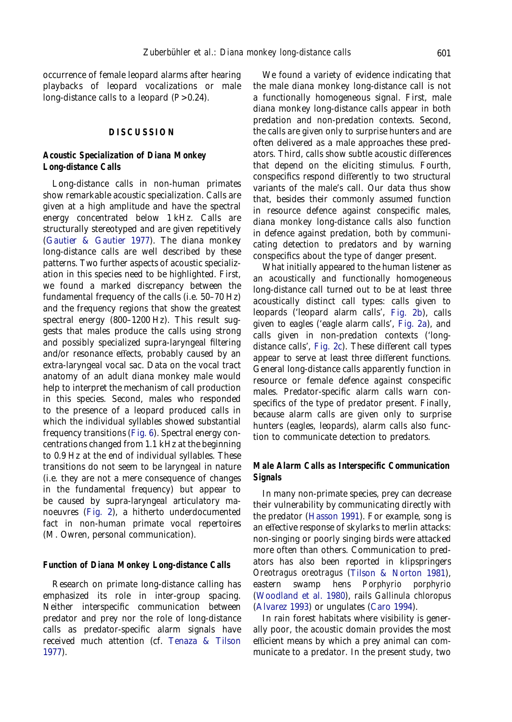occurrence of female leopard alarms after hearing playbacks of leopard vocalizations or male long-distance calls to a leopard (*P*>0.24).

# **DISCUSSION**

# **Acoustic Specialization of Diana Monkey Long-distance Calls**

Long-distance calls in non-human primates show remarkable acoustic specialization. Calls are given at a high amplitude and have the spectral energy concentrated below 1 kHz. Calls are structurally stereotyped and are given repetitively (Gautier & Gautier 1977). The diana monkey long-distance calls are well described by these patterns. Two further aspects of acoustic specialization in this species need to be highlighted. First, we found a marked discrepancy between the fundamental frequency of the calls (i.e. 50–70 Hz) and the frequency regions that show the greatest spectral energy (800–1200 Hz). This result suggests that males produce the calls using strong and possibly speciali[zed](#page-10-0) [sup](#page-10-0)ra-laryngeal filtering and/or resonance effects, probably caused by an extra-laryngeal vocal sac. Data on the vocal tract anatomy of an adult diana monkey male would help to interpret the mechanism of call production in this species. Second, males who responded to the presence of a leopard produced calls in which the [individ](#page-4-0)ual syllables showed substantial frequency transitions (Fig. 6). Spectral energy concentrations changed from 1.1 kHz at the beginning to 0.9 Hz at the end of individual syllables. These transitions do not seem to be laryngeal in nature (i.e. they are not a mere consequence of changes in the fundamental frequency) but appear to be caused by supra-laryngeal articulatory manoeuvres (Fig. 2), a hitherto underdocumented fact in non-human primate vocal repertoires (M. Owren, personal communication).

## **[Func](#page-15-26)tion of Diana Monkey Long-distance Calls**

Research on primate long-distance calling has emphasized its role in inter-group spacing. Neither interspecific communication between predator and prey nor the role of long-distance calls as predator-specific alarm signals have received much attention (cf. Tenaza & Tilson 1977).

We found a variety of evidence indicating that the male diana monkey long-distance call is not a functionally homogeneous signal. First, male diana monkey long-distance calls appear in both predation and non-predation contexts. Second, the calls are given only to surprise hunters and are often delivered as a male approaches these predators. Third, calls show subtle acoustic differences that depend on the eliciting stimulus. Fourth, conspecifics respond differently to two structural variants of the male's call. Our data thus show that, besides their commonly assumed function in resource defence against conspecific males, diana monkey long-distance call[s](#page-4-0) [also](#page-4-0) [fu](#page-4-0)nction in defence against predation, both [by](#page-4-0) [com](#page-4-0)municating detection to predators and by warning conspecifics ab[out](#page-4-0) [the](#page-4-0) type of danger present.

What initially appeared to the human listener as an acoustically and functionally homogeneous long-distance call turned out to be at least three acoustically distinct call types: calls given to leopards ('leopard alarm calls', Fig. 2b), calls given to eagles ('eagle alarm calls', Fig. 2a), and calls given in non-predation contexts ('longdistance calls', Fig. 2c). These different call types appear to serve at least three different functions. General long-distance calls apparently function in resource or female defence against conspecific males. Predator-specific alarm calls warn conspecifics of the type of predator present. Finally, because alarm calls are given only to surprise hunters (eagl[es,](#page-15-27) [leopards\),](#page-15-27) alarm calls also function to communicate detection to predators.

# **Male Alarm Calls as Interspecific Communication Signals**

In many non-primate species, prey can decrease [their](#page-15-28) [vulnerability](#page-15-28) [by](#page-15-28) [co](#page-15-28)mmunicating directly with [the](#page-15-29) [predator](#page-15-29) [\(H](#page-15-29)asson 1991). [For](#page-15-30) [exampl](#page-15-30)e, song is an effective response of skylarks to merlin attacks: non-singing or poorly singing birds were attacked more often than others. Communication to predators has also been reported in klipspringers *Oreotragus oreotragus* (Tilson & Norton 1981), eastern swamp hens *Porphyrio porphyrio* (Woodland et al. 1980), rails *Gallinula chloropus* (Alvarez 1993) or ungulates (Caro 1994).

In rain forest habitats where visibility is generally poor, the acoustic domain provides the most efficient means by which a prey animal can communicate to a predator. In the present study, two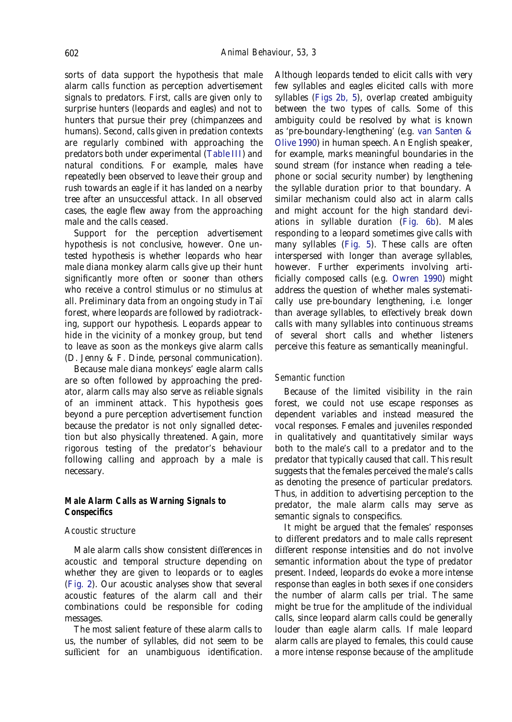sorts of data support the hypothesis that male alarm calls function as perception advertisement signals to predators. First, calls are given only to surprise hunters (leopards and eagles) and not to hunters that pursue their prey (chimpanzees and humans). Second, calls given in predation contexts are regularly combined with approaching the predators both under experimental (Table III) and natural conditions. For example, males have repeatedly been observed to leave their group and rush towards an eagle if it has landed on a nearby tree after an unsuccessful attack. In all observed cases, the eagle flew away from the approaching male and the calls ceased.

Support for the perception advertisement hypothesis is not conclusive, however. One untested hypothesis is whether leopards who hear male diana monkey alarm calls give up their hunt significantly more often or sooner than others who receive a control stimulus or no stimulus at all. Preliminary data from an ongoing study in Taï forest, where leopards are followed by radiotracking, support our hypothesis. Leopards appear to hide in the vicinity of a monkey group, but tend to leave as soon as the monkeys give alarm calls (D. Jenny & F. Dinde, personal communication).

Because male diana monkeys' eagle alarm calls are so often followed by approaching the predator, alarm calls may also serve as reliable signals of an imminent attack. This hypothesis goes beyond a pure perception advertisement function because the predator is not only signalled detection but also physically threatened. Again, more rigorous testing of the predator's behaviour following calling and approach by a male is necessary.

# **Male Alarm Calls as Warning Signals to Conspecifics**

#### *Acoustic structure*

Male alarm calls show consistent differences in acoustic and temporal structure depending on whether they are given to leopards or to eagles (Fig. 2). Our acoustic analyses show that several acoustic features of the alarm call and their combinations could be responsible for coding messages.

The most salient feature of these alarm calls to us, the number of syllables, did not seem to be sufficient for an unambiguous identification.

Although leopards tended to elicit calls with very few syllables and eagles elicited calls with more syllables (Figs 2b, 5), overlap created ambiguity between the two types of calls. Some of this ambiguity could be resolved [by what i](#page-10-0)s known as 'pre-boundary-lengthening' (e.g. van Santen & Olive 1990) in human speech. An English speaker, for example, ma[rks](#page-9-0) [mea](#page-9-0)ningful boundaries in the sound stream (for instance when reading a telephone or social security number) by lengthening the syllable duration prior t[o](#page-15-32) [that](#page-15-32) [bound](#page-15-32)ary. A similar mechanism could also act in alarm calls and might account for the high standard deviations in syllable duration (Fig. 6b). Males responding to a leopard sometimes give calls with many syllables (Fig. 5). These calls are often interspersed with longer than average syllables, however. Further experiments involving artificially composed calls (e.g. Owren 1990) might address the question of whether males systematically use pre-boundary lengthening, i.e. longer than average syllables, to effectively break down calls with many syllables into continuous streams of several short calls and whether listeners perceive this feature as semantically meaningful.

#### *Semantic function*

Because of the limited visibility in the rain forest, we could not use escape responses as dependent variables and instead measured the vocal responses. Females and juveniles responded in qualitatively and quantitatively similar ways both to the male's call to a predator and to the predator that typically caused that call. This result suggests that the females perceived the male's calls as denoting the presence of particular predators. Thus, in addition to advertising perception to the predator, the male alarm calls may serve as semantic signals to conspecifics.

It might be argued that the females' responses to different predators and to male calls represent different response intensities and do not involve semantic information about the type of predator present. Indeed, leopards do evoke a more intense response than eagles in both sexes if one considers the number of alarm calls per trial. The same might be true for the amplitude of the individual calls, since leopard alarm calls could be generally louder than eagle alarm calls. If male leopard alarm calls are played to females, this could cause a more intense response because of the amplitude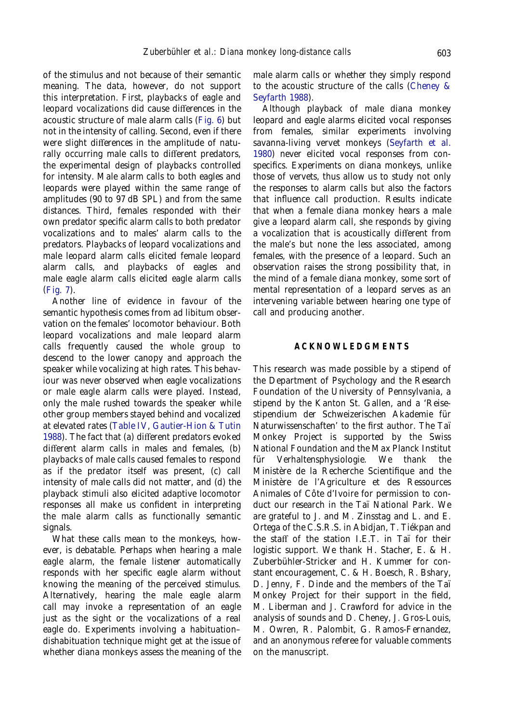of the stimulus and not because of their semantic meaning. The data, however, do not support this interpretation. First, playbacks of eagle and leopard vocalizations did cause differences in the acoustic structure of male alarm calls (Fig. 6) but not in the intensity of calling. Second, even if there were slight differences in the amplitude of naturally occurring male calls to different predators, the experimental design of playbacks controlled for intensity. Male alarm calls to both eagles and leopards were played within the same range of [amplitu](#page-11-0)des (90 to 97 dB SPL) and from the same distances. Third, females responded with their own predator specific alarm calls to both predator vocalizations and to males' alarm calls to the predators. Playbacks of leopard vocalizations and male leopard alarm calls elicited female leopard alarm calls, and playbacks of eagles and male eagle alarm calls elicited eagle alarm calls (Fig. 7).

Another line of evidence in favour of the semantic hypothesis comes from ad libitum observation on the females' locomotor behaviour. Both leopard vocaliz[ations](#page-8-1) [and](#page-8-1) [male](#page-15-23) [leopard](#page-15-23) [alarm](#page-15-23) [calls](#page-15-23) frequently caused the whole group to descend to the lower canopy and approach the speaker while vocalizing at high rates. This behaviour was never observed when eagle vocalizations or male eagle alarm calls were played. Instead, only the male rushed towards the speaker while other group members stayed behind and vocalized at elevated rates (Table IV, Gautier-Hion & Tutin 1988). The fact that (a) different predators evoked different alarm calls in males and females, (b) playbacks of male calls caused females to respond as if the predator itself was present, (c) call intensity of male calls did not matter, and (d) the playback stimuli also elicited adaptive locomotor responses all make us confident in interpreting the male alarm calls as functionally semantic signals.

What these calls mean to the monkeys, however, is debatable. Perhaps when hearing a male eagle alarm, the female listener automatically responds with her specific eagle alarm without knowing the meaning of the perceived stimulus. Alternatively, hearing the male eagle alarm call may invoke a representation of an eagle just as the sight or the vocalizations of a real eagle do. Experiments involving a habituation– dishabituation technique might get at the issue of whether diana monkeys assess the meaning of the male alarm calls or whether they simply respond to the acoustic structure of the calls (Cheney & Seyfarth 1988).

Although playback of male diana monkey leopard and eagle alarms elicited vocal responses from females, similar experiments involving savanna-living vervet monkeys (Seyfarth et al. 1980) never elicited vocal responses from conspecifics. Experiments on diana monkeys, unlike those of vervets, thus allow us to study not only the responses to alarm calls but also the factors that influence call production. Results indicate that when a female diana monkey hears a male give a leopard alarm call, she responds by giving a vocalization that is acoustically different from the male's but none the less associated, among females, with the presence of a leopard. Such an observation raises the strong possibility that, in the mind of a female diana monkey, some sort of mental representation of a leopard serves as an intervening variable between hearing one type of call and producing another.

## **ACKNOWLEDGMENTS**

This research was made possible by a stipend of the Department of Psychology and the Research Foundation of the University of Pennsylvania, a stipend by the Kanton St. Gallen, and a 'Reisestipendium der Schweizerischen Akademie für Naturwissenschaften' to the first author. The Taï Monkey Project is supported by the Swiss National Foundation and the Max Planck Institut für Verhaltensphysiologie. We thank the Ministère de la Recherche Scientifique and the Ministère de l'Agriculture et des Ressources Animales of Côte d'Ivoire for permission to conduct our research in the Taï National Park. We are grateful to J. and M. Zinsstag and L. and E. Ortega of the C.S.R.S. in Abidjan, T. Tiékpan and the staff of the station I.E.T. in Taï for their logistic support. We thank H. Stacher, E. & H. Zuberbühler-Stricker and H. Kummer for constant encouragement, C. & H. Boesch, R. Bshary, D. Jenny, F. Dinde and the members of the Taï Monkey Project for their support in the field, M. Liberman and J. Crawford for advice in the analysis of sounds and D. Cheney, J. Gros-Louis, M. Owren, R. Palombit, G. Ramos-Fernandez, and an anonymous referee for valuable comments on the manuscript.